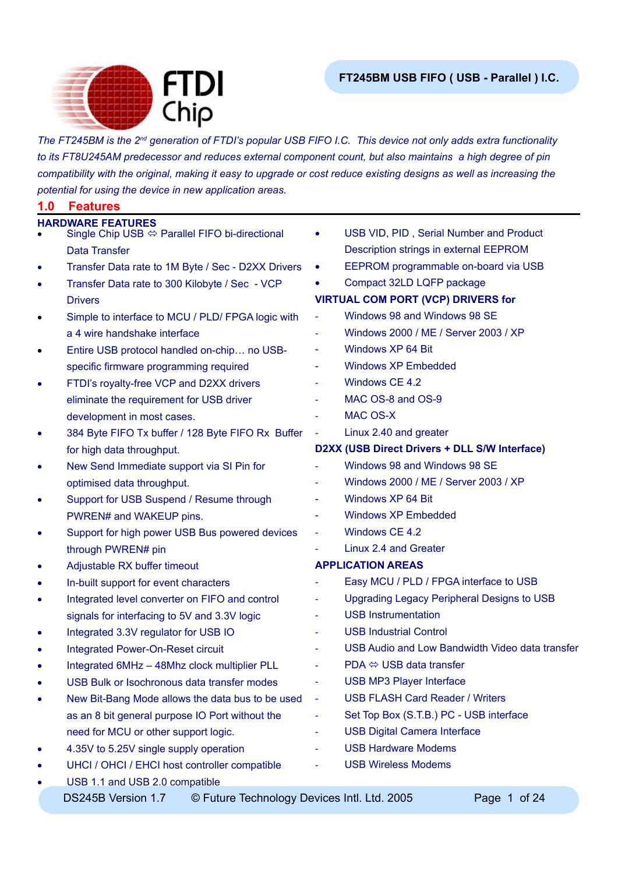

*The FT245BM is the 2nd generation of FTDI's popular USB FIFO I.C. This device not only adds extra functionality to its FT8U245AM predecessor and reduces external component count, but also maintains a high degree of pin compatibility with the original, making it easy to upgrade or cost reduce existing designs as well as increasing the potential for using the device in new application areas.*

| <b>HARDWARE FEATURES</b><br>USB VID, PID, Serial Number and Product<br>Single Chip USB $\Leftrightarrow$ Parallel FIFO bi-directional<br>Description strings in external EEPROM<br>Data Transfer<br>EEPROM programmable on-board via USB<br>Transfer Data rate to 1M Byte / Sec - D2XX Drivers<br>٠<br>Compact 32LD LQFP package<br>Transfer Data rate to 300 Kilobyte / Sec - VCP<br>٠<br><b>VIRTUAL COM PORT (VCP) DRIVERS for</b><br><b>Drivers</b><br>Windows 98 and Windows 98 SE<br>Simple to interface to MCU / PLD/ FPGA logic with<br>$\blacksquare$<br>$\bullet$<br>Windows 2000 / ME / Server 2003 / XP<br>a 4 wire handshake interface<br>Windows XP 64 Bit<br>Entire USB protocol handled on-chip no USB-<br>$\overline{\phantom{a}}$<br>$\bullet$<br><b>Windows XP Embedded</b><br>specific firmware programming required<br>$\overline{\phantom{a}}$<br>Windows CE 4.2<br>FTDI's royalty-free VCP and D2XX drivers<br>٠<br>MAC OS-8 and OS-9<br>eliminate the requirement for USB driver<br><b>MAC OS-X</b><br>development in most cases. |                                                 |
|----------------------------------------------------------------------------------------------------------------------------------------------------------------------------------------------------------------------------------------------------------------------------------------------------------------------------------------------------------------------------------------------------------------------------------------------------------------------------------------------------------------------------------------------------------------------------------------------------------------------------------------------------------------------------------------------------------------------------------------------------------------------------------------------------------------------------------------------------------------------------------------------------------------------------------------------------------------------------------------------------------------------------------------------------------|-------------------------------------------------|
|                                                                                                                                                                                                                                                                                                                                                                                                                                                                                                                                                                                                                                                                                                                                                                                                                                                                                                                                                                                                                                                          |                                                 |
|                                                                                                                                                                                                                                                                                                                                                                                                                                                                                                                                                                                                                                                                                                                                                                                                                                                                                                                                                                                                                                                          |                                                 |
|                                                                                                                                                                                                                                                                                                                                                                                                                                                                                                                                                                                                                                                                                                                                                                                                                                                                                                                                                                                                                                                          |                                                 |
|                                                                                                                                                                                                                                                                                                                                                                                                                                                                                                                                                                                                                                                                                                                                                                                                                                                                                                                                                                                                                                                          |                                                 |
|                                                                                                                                                                                                                                                                                                                                                                                                                                                                                                                                                                                                                                                                                                                                                                                                                                                                                                                                                                                                                                                          |                                                 |
|                                                                                                                                                                                                                                                                                                                                                                                                                                                                                                                                                                                                                                                                                                                                                                                                                                                                                                                                                                                                                                                          |                                                 |
|                                                                                                                                                                                                                                                                                                                                                                                                                                                                                                                                                                                                                                                                                                                                                                                                                                                                                                                                                                                                                                                          |                                                 |
|                                                                                                                                                                                                                                                                                                                                                                                                                                                                                                                                                                                                                                                                                                                                                                                                                                                                                                                                                                                                                                                          |                                                 |
|                                                                                                                                                                                                                                                                                                                                                                                                                                                                                                                                                                                                                                                                                                                                                                                                                                                                                                                                                                                                                                                          |                                                 |
|                                                                                                                                                                                                                                                                                                                                                                                                                                                                                                                                                                                                                                                                                                                                                                                                                                                                                                                                                                                                                                                          |                                                 |
|                                                                                                                                                                                                                                                                                                                                                                                                                                                                                                                                                                                                                                                                                                                                                                                                                                                                                                                                                                                                                                                          |                                                 |
|                                                                                                                                                                                                                                                                                                                                                                                                                                                                                                                                                                                                                                                                                                                                                                                                                                                                                                                                                                                                                                                          |                                                 |
|                                                                                                                                                                                                                                                                                                                                                                                                                                                                                                                                                                                                                                                                                                                                                                                                                                                                                                                                                                                                                                                          |                                                 |
| Linux 2.40 and greater<br>384 Byte FIFO Tx buffer / 128 Byte FIFO Rx Buffer<br>$\blacksquare$<br>٠                                                                                                                                                                                                                                                                                                                                                                                                                                                                                                                                                                                                                                                                                                                                                                                                                                                                                                                                                       |                                                 |
| D2XX (USB Direct Drivers + DLL S/W Interface)<br>for high data throughput.                                                                                                                                                                                                                                                                                                                                                                                                                                                                                                                                                                                                                                                                                                                                                                                                                                                                                                                                                                               |                                                 |
| Windows 98 and Windows 98 SE<br>New Send Immediate support via SI Pin for<br>٠                                                                                                                                                                                                                                                                                                                                                                                                                                                                                                                                                                                                                                                                                                                                                                                                                                                                                                                                                                           |                                                 |
| optimised data throughput.                                                                                                                                                                                                                                                                                                                                                                                                                                                                                                                                                                                                                                                                                                                                                                                                                                                                                                                                                                                                                               | Windows 2000 / ME / Server 2003 / XP            |
| Windows XP 64 Bit<br>Support for USB Suspend / Resume through<br>$\overline{\phantom{a}}$<br>٠                                                                                                                                                                                                                                                                                                                                                                                                                                                                                                                                                                                                                                                                                                                                                                                                                                                                                                                                                           |                                                 |
| <b>Windows XP Embedded</b><br>PWREN# and WAKEUP pins.<br>$\blacksquare$                                                                                                                                                                                                                                                                                                                                                                                                                                                                                                                                                                                                                                                                                                                                                                                                                                                                                                                                                                                  |                                                 |
| Windows CE 4.2<br>Support for high power USB Bus powered devices<br>$\blacksquare$<br>٠                                                                                                                                                                                                                                                                                                                                                                                                                                                                                                                                                                                                                                                                                                                                                                                                                                                                                                                                                                  |                                                 |
| Linux 2.4 and Greater<br>through PWREN# pin                                                                                                                                                                                                                                                                                                                                                                                                                                                                                                                                                                                                                                                                                                                                                                                                                                                                                                                                                                                                              |                                                 |
| <b>APPLICATION AREAS</b><br>Adjustable RX buffer timeout<br>٠                                                                                                                                                                                                                                                                                                                                                                                                                                                                                                                                                                                                                                                                                                                                                                                                                                                                                                                                                                                            |                                                 |
| In-built support for event characters<br>٠                                                                                                                                                                                                                                                                                                                                                                                                                                                                                                                                                                                                                                                                                                                                                                                                                                                                                                                                                                                                               | Easy MCU / PLD / FPGA interface to USB          |
| Integrated level converter on FIFO and control<br>$\blacksquare$<br>٠                                                                                                                                                                                                                                                                                                                                                                                                                                                                                                                                                                                                                                                                                                                                                                                                                                                                                                                                                                                    | Upgrading Legacy Peripheral Designs to USB      |
| <b>USB Instrumentation</b><br>signals for interfacing to 5V and 3.3V logic<br>$\overline{\phantom{a}}$                                                                                                                                                                                                                                                                                                                                                                                                                                                                                                                                                                                                                                                                                                                                                                                                                                                                                                                                                   |                                                 |
| <b>USB Industrial Control</b><br>Integrated 3.3V regulator for USB IO<br>٠                                                                                                                                                                                                                                                                                                                                                                                                                                                                                                                                                                                                                                                                                                                                                                                                                                                                                                                                                                               |                                                 |
| <b>Integrated Power-On-Reset circuit</b><br>٠                                                                                                                                                                                                                                                                                                                                                                                                                                                                                                                                                                                                                                                                                                                                                                                                                                                                                                                                                                                                            | USB Audio and Low Bandwidth Video data transfer |
| $PDA \Leftrightarrow \text{USB}$ data transfer<br>Integrated 6MHz - 48Mhz clock multiplier PLL                                                                                                                                                                                                                                                                                                                                                                                                                                                                                                                                                                                                                                                                                                                                                                                                                                                                                                                                                           |                                                 |
| <b>USB MP3 Player Interface</b><br>USB Bulk or Isochronous data transfer modes<br>٠                                                                                                                                                                                                                                                                                                                                                                                                                                                                                                                                                                                                                                                                                                                                                                                                                                                                                                                                                                      |                                                 |
| <b>USB FLASH Card Reader / Writers</b><br>New Bit-Bang Mode allows the data bus to be used<br>٠                                                                                                                                                                                                                                                                                                                                                                                                                                                                                                                                                                                                                                                                                                                                                                                                                                                                                                                                                          |                                                 |
| as an 8 bit general purpose IO Port without the<br>$\blacksquare$                                                                                                                                                                                                                                                                                                                                                                                                                                                                                                                                                                                                                                                                                                                                                                                                                                                                                                                                                                                        | Set Top Box (S.T.B.) PC - USB interface         |
| <b>USB Digital Camera Interface</b><br>need for MCU or other support logic.                                                                                                                                                                                                                                                                                                                                                                                                                                                                                                                                                                                                                                                                                                                                                                                                                                                                                                                                                                              |                                                 |
| <b>USB Hardware Modems</b><br>4.35V to 5.25V single supply operation<br>٠                                                                                                                                                                                                                                                                                                                                                                                                                                                                                                                                                                                                                                                                                                                                                                                                                                                                                                                                                                                |                                                 |
| <b>USB Wireless Modems</b><br>UHCI / OHCI / EHCI host controller compatible<br>٠                                                                                                                                                                                                                                                                                                                                                                                                                                                                                                                                                                                                                                                                                                                                                                                                                                                                                                                                                                         |                                                 |
| USB 1.1 and USB 2.0 compatible<br>٠                                                                                                                                                                                                                                                                                                                                                                                                                                                                                                                                                                                                                                                                                                                                                                                                                                                                                                                                                                                                                      |                                                 |
| © Future Technology Devices Intl. Ltd. 2005<br>DS245B Version 1.7                                                                                                                                                                                                                                                                                                                                                                                                                                                                                                                                                                                                                                                                                                                                                                                                                                                                                                                                                                                        |                                                 |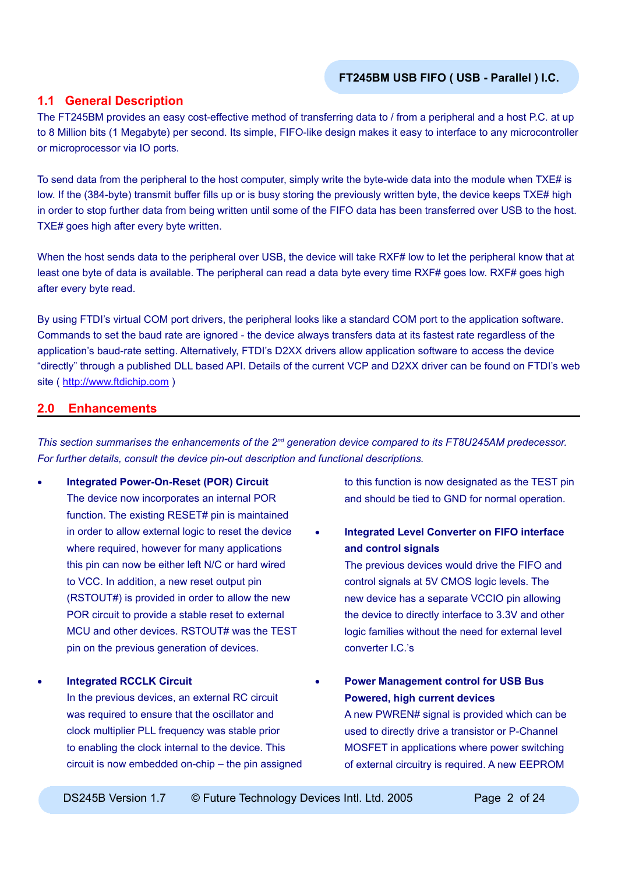## **1.1 General Description**

The FT245BM provides an easy cost-effective method of transferring data to / from a peripheral and a host P.C. at up to 8 Million bits (1 Megabyte) per second. Its simple, FIFO-like design makes it easy to interface to any microcontroller or microprocessor via IO ports.

To send data from the peripheral to the host computer, simply write the byte-wide data into the module when TXE# is low. If the (384-byte) transmit buffer fills up or is busy storing the previously written byte, the device keeps TXE# high in order to stop further data from being written until some of the FIFO data has been transferred over USB to the host. TXE# goes high after every byte written.

When the host sends data to the peripheral over USB, the device will take RXF# low to let the peripheral know that at least one byte of data is available. The peripheral can read a data byte every time RXF# goes low. RXF# goes high after every byte read.

By using FTDI's virtual COM port drivers, the peripheral looks like a standard COM port to the application software. Commands to set the baud rate are ignored - the device always transfers data at its fastest rate regardless of the application's baud-rate setting. Alternatively, FTDI's D2XX drivers allow application software to access the device "directly" through a published DLL based API. Details of the current VCP and D2XX driver can be found on FTDI's web site ( [http://www.ftdichip.com](http://www.ftdichip.com/FTDisti.htm) )

## **2.0 Enhancements**

*This section summarises the enhancements of the 2nd generation device compared to its FT8U245AM predecessor. For further details, consult the device pin-out description and functional descriptions.*

• **Integrated Power-On-Reset (POR) Circuit** The device now incorporates an internal POR function. The existing RESET# pin is maintained in order to allow external logic to reset the device where required, however for many applications this pin can now be either left N/C or hard wired to VCC. In addition, a new reset output pin (RSTOUT#) is provided in order to allow the new POR circuit to provide a stable reset to external MCU and other devices. RSTOUT# was the TEST pin on the previous generation of devices.

• **Integrated RCCLK Circuit**

In the previous devices, an external RC circuit was required to ensure that the oscillator and clock multiplier PLL frequency was stable prior to enabling the clock internal to the device. This circuit is now embedded on-chip – the pin assigned to this function is now designated as the TEST pin and should be tied to GND for normal operation.

• **Integrated Level Converter on FIFO interface and control signals**

The previous devices would drive the FIFO and control signals at 5V CMOS logic levels. The new device has a separate VCCIO pin allowing the device to directly interface to 3.3V and other logic families without the need for external level converter I.C.'s

• **Power Management control for USB Bus Powered, high current devices** A new PWREN# signal is provided which can be used to directly drive a transistor or P-Channel MOSFET in applications where power switching

of external circuitry is required. A new EEPROM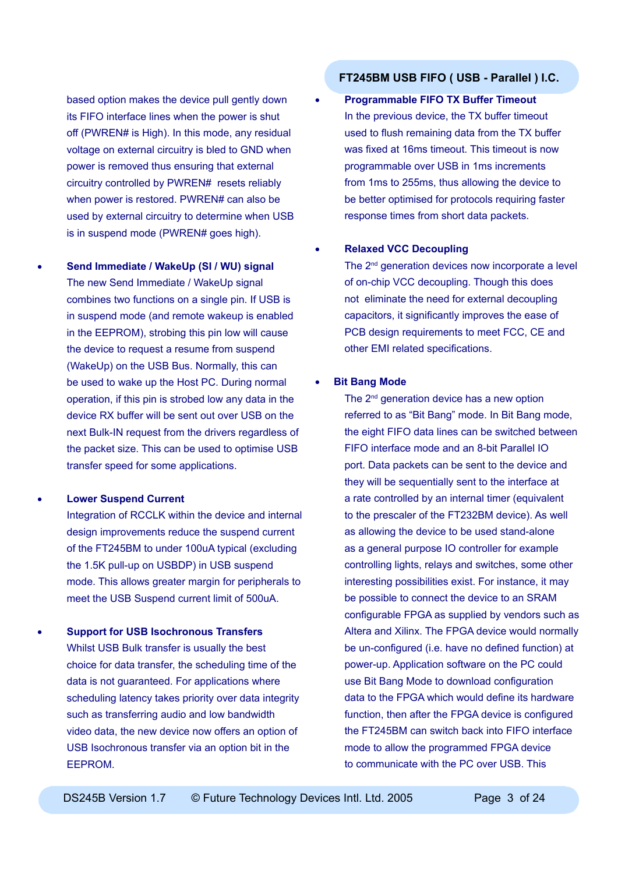based option makes the device pull gently down its FIFO interface lines when the power is shut off (PWREN# is High). In this mode, any residual voltage on external circuitry is bled to GND when power is removed thus ensuring that external circuitry controlled by PWREN# resets reliably when power is restored. PWREN# can also be used by external circuitry to determine when USB is in suspend mode (PWREN# goes high).

• **Send Immediate / WakeUp (SI / WU) signal** The new Send Immediate / WakeUp signal combines two functions on a single pin. If USB is in suspend mode (and remote wakeup is enabled in the EEPROM), strobing this pin low will cause the device to request a resume from suspend (WakeUp) on the USB Bus. Normally, this can be used to wake up the Host PC. During normal operation, if this pin is strobed low any data in the device RX buffer will be sent out over USB on the next Bulk-IN request from the drivers regardless of the packet size. This can be used to optimise USB transfer speed for some applications.

#### • **Lower Suspend Current**

Integration of RCCLK within the device and internal design improvements reduce the suspend current of the FT245BM to under 100uA typical (excluding the 1.5K pull-up on USBDP) in USB suspend mode. This allows greater margin for peripherals to meet the USB Suspend current limit of 500uA.

• **Support for USB Isochronous Transfers** Whilst USB Bulk transfer is usually the best choice for data transfer, the scheduling time of the data is not guaranteed. For applications where scheduling latency takes priority over data integrity such as transferring audio and low bandwidth video data, the new device now offers an option of USB Isochronous transfer via an option bit in the EEPROM.

# **FT245BM USB FIFO ( USB - Parallel ) I.C.**

• **Programmable FIFO TX Buffer Timeout** In the previous device, the TX buffer timeout used to flush remaining data from the TX buffer was fixed at 16ms timeout. This timeout is now programmable over USB in 1ms increments from 1ms to 255ms, thus allowing the device to be better optimised for protocols requiring faster response times from short data packets.

#### • **Relaxed VCC Decoupling**

The 2<sup>nd</sup> generation devices now incorporate a level of on-chip VCC decoupling. Though this does not eliminate the need for external decoupling capacitors, it significantly improves the ease of PCB design requirements to meet FCC, CE and other EMI related specifications.

#### **Bit Bang Mode**

The 2<sup>nd</sup> generation device has a new option referred to as "Bit Bang" mode. In Bit Bang mode, the eight FIFO data lines can be switched between FIFO interface mode and an 8-bit Parallel IO port. Data packets can be sent to the device and they will be sequentially sent to the interface at a rate controlled by an internal timer (equivalent to the prescaler of the FT232BM device). As well as allowing the device to be used stand-alone as a general purpose IO controller for example controlling lights, relays and switches, some other interesting possibilities exist. For instance, it may be possible to connect the device to an SRAM configurable FPGA as supplied by vendors such as Altera and Xilinx. The FPGA device would normally be un-configured (i.e. have no defined function) at power-up. Application software on the PC could use Bit Bang Mode to download configuration data to the FPGA which would define its hardware function, then after the FPGA device is configured the FT245BM can switch back into FIFO interface mode to allow the programmed FPGA device to communicate with the PC over USB. This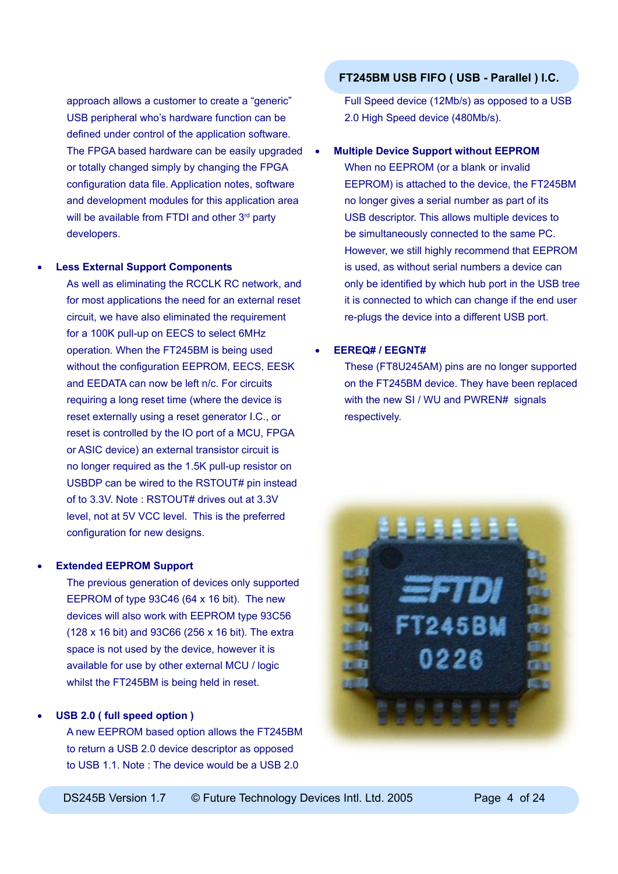approach allows a customer to create a "generic" USB peripheral who's hardware function can be defined under control of the application software. The FPGA based hardware can be easily upgraded or totally changed simply by changing the FPGA configuration data file. Application notes, software and development modules for this application area will be available from FTDI and other 3<sup>rd</sup> party developers.

#### • **Less External Support Components**

As well as eliminating the RCCLK RC network, and for most applications the need for an external reset circuit, we have also eliminated the requirement for a 100K pull-up on EECS to select 6MHz operation. When the FT245BM is being used without the configuration EEPROM, EECS, EESK and EEDATA can now be left n/c. For circuits requiring a long reset time (where the device is reset externally using a reset generator I.C., or reset is controlled by the IO port of a MCU, FPGA or ASIC device) an external transistor circuit is no longer required as the 1.5K pull-up resistor on USBDP can be wired to the RSTOUT# pin instead of to 3.3V. Note : RSTOUT# drives out at 3.3V level, not at 5V VCC level. This is the preferred configuration for new designs.

### • **Extended EEPROM Support**

The previous generation of devices only supported EEPROM of type 93C46 (64 x 16 bit). The new devices will also work with EEPROM type 93C56 (128 x 16 bit) and 93C66 (256 x 16 bit). The extra space is not used by the device, however it is available for use by other external MCU / logic whilst the FT245BM is being held in reset.

### • **USB 2.0 ( full speed option )**

A new EEPROM based option allows the FT245BM to return a USB 2.0 device descriptor as opposed to USB 1.1. Note : The device would be a USB 2.0

## **FT245BM USB FIFO ( USB - Parallel ) I.C.**

Full Speed device (12Mb/s) as opposed to a USB 2.0 High Speed device (480Mb/s).

#### • **Multiple Device Support without EEPROM**

When no EEPROM (or a blank or invalid EEPROM) is attached to the device, the FT245BM no longer gives a serial number as part of its USB descriptor. This allows multiple devices to be simultaneously connected to the same PC. However, we still highly recommend that EEPROM is used, as without serial numbers a device can only be identified by which hub port in the USB tree it is connected to which can change if the end user re-plugs the device into a different USB port.

## • **EEREQ# / EEGNT#**

These (FT8U245AM) pins are no longer supported on the FT245BM device. They have been replaced with the new SI / WU and PWREN# signals respectively.

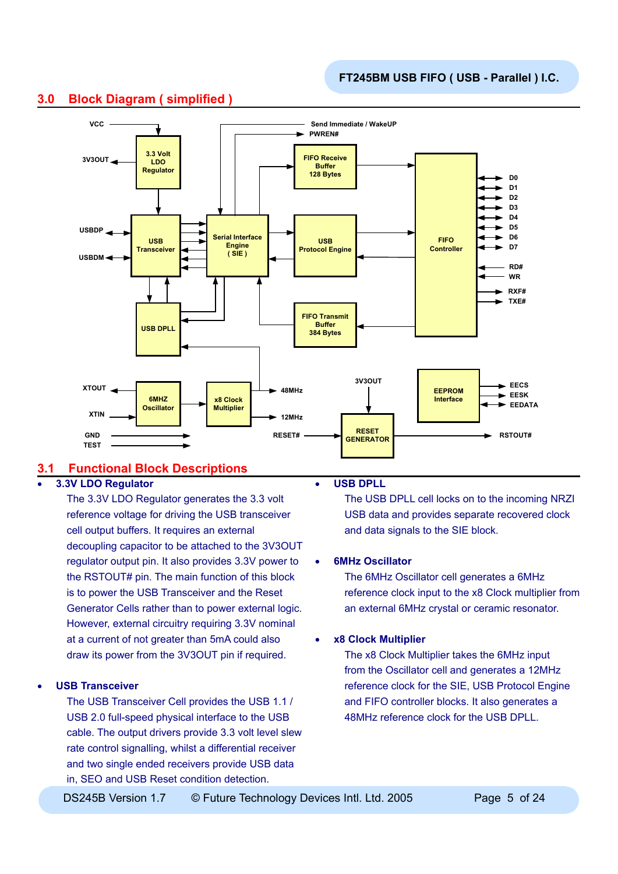

# **3.0 Block Diagram ( simplified )**

# **3.1 Functional Block Descriptions**

## • **3.3V LDO Regulator**

The 3.3V LDO Regulator generates the 3.3 volt reference voltage for driving the USB transceiver cell output buffers. It requires an external decoupling capacitor to be attached to the 3V3OUT regulator output pin. It also provides 3.3V power to the RSTOUT# pin. The main function of this block is to power the USB Transceiver and the Reset Generator Cells rather than to power external logic. However, external circuitry requiring 3.3V nominal at a current of not greater than 5mA could also draw its power from the 3V3OUT pin if required.

### • **USB Transceiver**

The USB Transceiver Cell provides the USB 1.1 / USB 2.0 full-speed physical interface to the USB cable. The output drivers provide 3.3 volt level slew rate control signalling, whilst a differential receiver and two single ended receivers provide USB data in, SEO and USB Reset condition detection.

#### • **USB DPLL**

The USB DPLL cell locks on to the incoming NRZI USB data and provides separate recovered clock and data signals to the SIE block.

### • **6MHz Oscillator**

The 6MHz Oscillator cell generates a 6MHz reference clock input to the x8 Clock multiplier from an external 6MHz crystal or ceramic resonator.

### • **x8 Clock Multiplier**

The x8 Clock Multiplier takes the 6MHz input from the Oscillator cell and generates a 12MHz reference clock for the SIE, USB Protocol Engine and FIFO controller blocks. It also generates a 48MHz reference clock for the USB DPLL.

DS245B Version 1.7  $\degree$  © Future Technology Devices Intl. Ltd. 2005 Page 5 of 24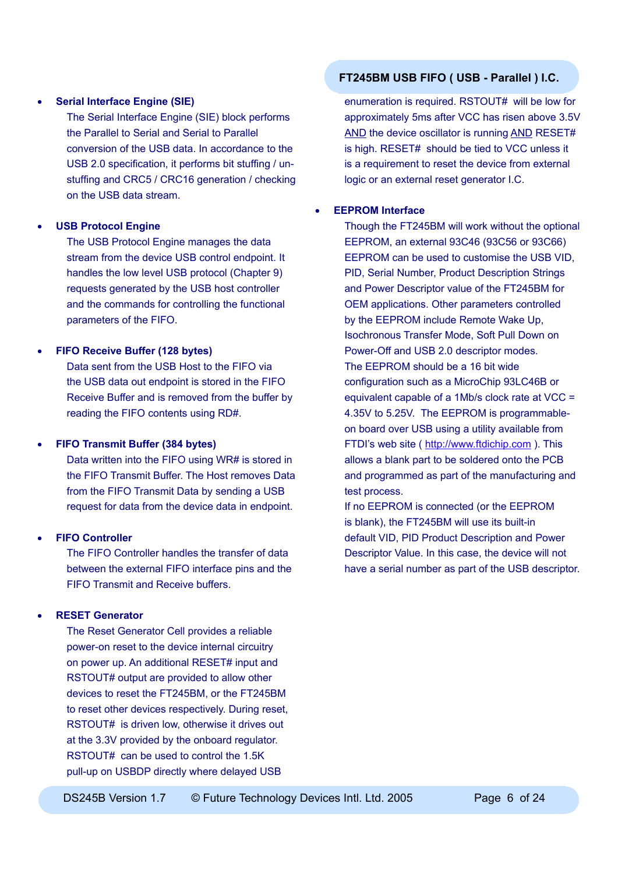#### • **Serial Interface Engine (SIE)**

The Serial Interface Engine (SIE) block performs the Parallel to Serial and Serial to Parallel conversion of the USB data. In accordance to the USB 2.0 specification, it performs bit stuffing / unstuffing and CRC5 / CRC16 generation / checking on the USB data stream.

#### • **USB Protocol Engine**

The USB Protocol Engine manages the data stream from the device USB control endpoint. It handles the low level USB protocol (Chapter 9) requests generated by the USB host controller and the commands for controlling the functional parameters of the FIFO.

### • **FIFO Receive Buffer (128 bytes)**

Data sent from the USB Host to the FIFO via the USB data out endpoint is stored in the FIFO Receive Buffer and is removed from the buffer by reading the FIFO contents using RD#.

#### • **FIFO Transmit Buffer (384 bytes)**

Data written into the FIFO using WR# is stored in the FIFO Transmit Buffer. The Host removes Data from the FIFO Transmit Data by sending a USB request for data from the device data in endpoint.

#### • **FIFO Controller**

The FIFO Controller handles the transfer of data between the external FIFO interface pins and the FIFO Transmit and Receive buffers.

#### • **RESET Generator**

The Reset Generator Cell provides a reliable power-on reset to the device internal circuitry on power up. An additional RESET# input and RSTOUT# output are provided to allow other devices to reset the FT245BM, or the FT245BM to reset other devices respectively. During reset, RSTOUT# is driven low, otherwise it drives out at the 3.3V provided by the onboard regulator. RSTOUT# can be used to control the 1.5K pull-up on USBDP directly where delayed USB

## **FT245BM USB FIFO ( USB - Parallel ) I.C.**

enumeration is required. RSTOUT# will be low for approximately 5ms after VCC has risen above 3.5V AND the device oscillator is running AND RESET# is high. RESET# should be tied to VCC unless it is a requirement to reset the device from external logic or an external reset generator I.C.

## • **EEPROM Interface**

Though the FT245BM will work without the optional EEPROM, an external 93C46 (93C56 or 93C66) EEPROM can be used to customise the USB VID, PID, Serial Number, Product Description Strings and Power Descriptor value of the FT245BM for OEM applications. Other parameters controlled by the EEPROM include Remote Wake Up, Isochronous Transfer Mode, Soft Pull Down on Power-Off and USB 2.0 descriptor modes. The EEPROM should be a 16 bit wide configuration such as a MicroChip 93LC46B or equivalent capable of a 1Mb/s clock rate at VCC = 4.35V to 5.25V. The EEPROM is programmableon board over USB using a utility available from FTDI's web site ( [http://www.ftdichip.com](http://www.ftdichip.com/FTDisti.htm) ). This allows a blank part to be soldered onto the PCB and programmed as part of the manufacturing and test process.

If no EEPROM is connected (or the EEPROM is blank), the FT245BM will use its built-in default VID, PID Product Description and Power Descriptor Value. In this case, the device will not have a serial number as part of the USB descriptor.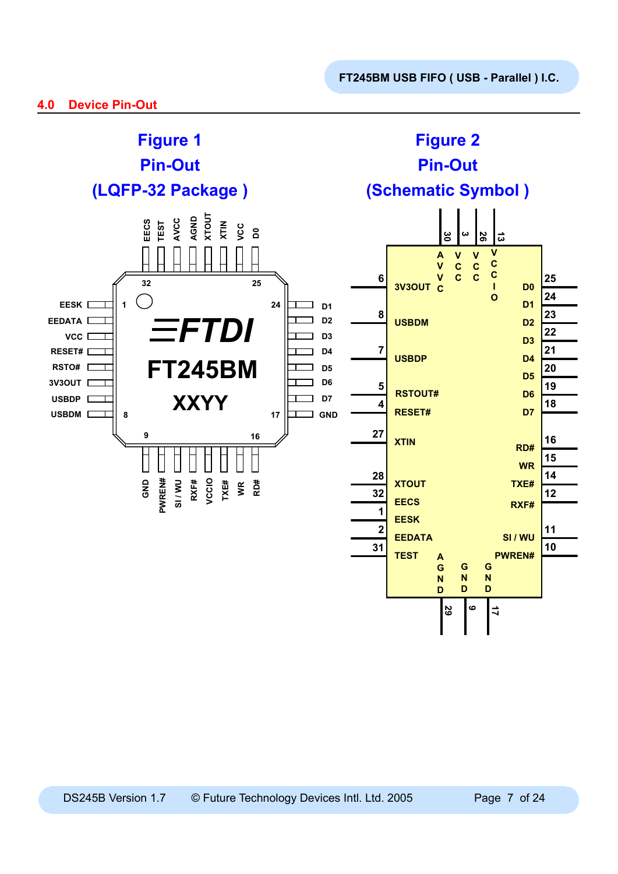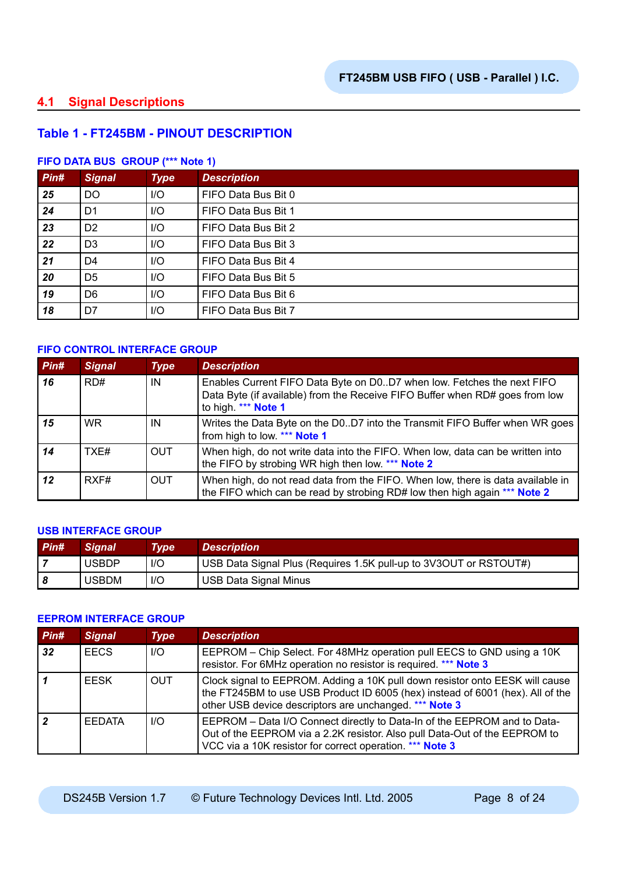# **4.1 Signal Descriptions**

# **Table 1 - FT245BM - PINOUT DESCRIPTION**

## **FIFO DATA BUS GROUP (\*\*\* Note 1)**

| Pin# | <b>Signal</b>  | <b>Type</b> | <b>Description</b>  |
|------|----------------|-------------|---------------------|
| 25   | <b>DO</b>      | I/O         | FIFO Data Bus Bit 0 |
| 24   | D <sub>1</sub> | I/O         | FIFO Data Bus Bit 1 |
| 23   | D <sub>2</sub> | I/O         | FIFO Data Bus Bit 2 |
| 22   | D <sub>3</sub> | I/O         | FIFO Data Bus Bit 3 |
| 21   | D4             | I/O         | FIFO Data Bus Bit 4 |
| 20   | D <sub>5</sub> | $II$        | FIFO Data Bus Bit 5 |
| 19   | D <sub>6</sub> | I/O         | FIFO Data Bus Bit 6 |
| 18   | D7             | I/O         | FIFO Data Bus Bit 7 |

## **FIFO CONTROL INTERFACE GROUP**

| Pin# | <b>Signal</b> | <b>Type</b> | <b>Description</b>                                                                                                                                                            |
|------|---------------|-------------|-------------------------------------------------------------------------------------------------------------------------------------------------------------------------------|
| 16   | RD#           | IN          | Enables Current FIFO Data Byte on D0D7 when low. Fetches the next FIFO<br>Data Byte (if available) from the Receive FIFO Buffer when RD# goes from low<br>to high. *** Note 1 |
| 15   | WR.           | IN          | Writes the Data Byte on the D0D7 into the Transmit FIFO Buffer when WR goes<br>from high to low. *** Note 1                                                                   |
| 14   | TXF#          | <b>OUT</b>  | When high, do not write data into the FIFO. When low, data can be written into<br>the FIFO by strobing WR high then low. *** Note 2                                           |
| 12   | RXF#          | <b>OUT</b>  | When high, do not read data from the FIFO. When low, there is data available in<br>the FIFO which can be read by strobing RD# low then high again *** Note 2                  |

### **USB INTERFACE GROUP**

| $P$ in# | <b>Signal</b> | Type | <b>Description</b>                                                |
|---------|---------------|------|-------------------------------------------------------------------|
|         | <b>USBDP</b>  | $II$ | USB Data Signal Plus (Requires 1.5K pull-up to 3V3OUT or RSTOUT#) |
|         | <b>USBDM</b>  | $II$ | USB Data Signal Minus                                             |

#### **EEPROM INTERFACE GROUP**

| Pin#            | <b>Signal</b> | <b>Type</b> | <b>Description</b>                                                                                                                                                                                                       |
|-----------------|---------------|-------------|--------------------------------------------------------------------------------------------------------------------------------------------------------------------------------------------------------------------------|
| 32 <sub>2</sub> | <b>EECS</b>   | $II$        | EEPROM - Chip Select. For 48MHz operation pull EECS to GND using a 10K<br>resistor. For 6MHz operation no resistor is required. *** Note 3                                                                               |
|                 | <b>FESK</b>   | <b>OUT</b>  | Clock signal to EEPROM. Adding a 10K pull down resistor onto EESK will cause<br>the FT245BM to use USB Product ID 6005 (hex) instead of 6001 (hex). All of the<br>other USB device descriptors are unchanged. *** Note 3 |
|                 | <b>FEDATA</b> | $II$        | EEPROM - Data I/O Connect directly to Data-In of the EEPROM and to Data-<br>Out of the EEPROM via a 2.2K resistor. Also pull Data-Out of the EEPROM to<br>VCC via a 10K resistor for correct operation. *** Note 3       |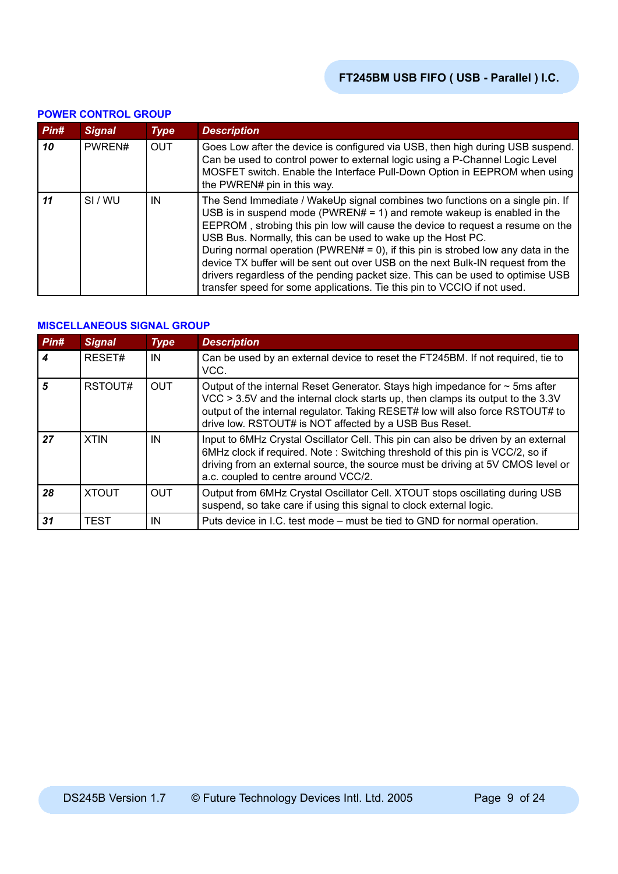|      | <u>UNER UURTRUE URUUT</u> |             |                                                                                                                                                                                                                                                                                                                                                                                                                                                                                                                                                                                                                                                 |  |  |  |
|------|---------------------------|-------------|-------------------------------------------------------------------------------------------------------------------------------------------------------------------------------------------------------------------------------------------------------------------------------------------------------------------------------------------------------------------------------------------------------------------------------------------------------------------------------------------------------------------------------------------------------------------------------------------------------------------------------------------------|--|--|--|
| Pin# | <b>Signal</b>             | <b>Type</b> | <b>Description</b>                                                                                                                                                                                                                                                                                                                                                                                                                                                                                                                                                                                                                              |  |  |  |
| 10   | PWREN#                    | <b>OUT</b>  | Goes Low after the device is configured via USB, then high during USB suspend.<br>Can be used to control power to external logic using a P-Channel Logic Level<br>MOSFET switch. Enable the Interface Pull-Down Option in EEPROM when using<br>the PWREN# pin in this way.                                                                                                                                                                                                                                                                                                                                                                      |  |  |  |
| 11   | SI/WU                     | IN          | The Send Immediate / WakeUp signal combines two functions on a single pin. If<br>USB is in suspend mode (PWREN# = 1) and remote wakeup is enabled in the<br>EEPROM, strobing this pin low will cause the device to request a resume on the<br>USB Bus. Normally, this can be used to wake up the Host PC.<br>During normal operation (PWREN# = 0), if this pin is strobed low any data in the<br>device TX buffer will be sent out over USB on the next Bulk-IN request from the<br>drivers regardless of the pending packet size. This can be used to optimise USB<br>transfer speed for some applications. Tie this pin to VCCIO if not used. |  |  |  |

## **POWER CONTROL GROUP**

## **MISCELLANEOUS SIGNAL GROUP**

| Pin# | <b>Signal</b> | <b>Type</b> | <b>Description</b>                                                                                                                                                                                                                                                                                               |  |  |  |
|------|---------------|-------------|------------------------------------------------------------------------------------------------------------------------------------------------------------------------------------------------------------------------------------------------------------------------------------------------------------------|--|--|--|
|      | RESET#        | IN          | Can be used by an external device to reset the FT245BM. If not required, tie to<br>VCC.                                                                                                                                                                                                                          |  |  |  |
| 5    | RSTOUT#       | <b>OUT</b>  | Output of the internal Reset Generator. Stays high impedance for $\sim$ 5ms after<br>VCC > 3.5V and the internal clock starts up, then clamps its output to the 3.3V<br>output of the internal regulator. Taking RESET# low will also force RSTOUT# to<br>drive low. RSTOUT# is NOT affected by a USB Bus Reset. |  |  |  |
| 27   | <b>XTIN</b>   | IN          | Input to 6MHz Crystal Oscillator Cell. This pin can also be driven by an external<br>6MHz clock if required. Note: Switching threshold of this pin is VCC/2, so if<br>driving from an external source, the source must be driving at 5V CMOS level or<br>a.c. coupled to centre around VCC/2.                    |  |  |  |
| 28   | <b>XTOUT</b>  | <b>OUT</b>  | Output from 6MHz Crystal Oscillator Cell. XTOUT stops oscillating during USB<br>suspend, so take care if using this signal to clock external logic.                                                                                                                                                              |  |  |  |
| 31   | <b>TEST</b>   | IN          | Puts device in I.C. test mode – must be tied to GND for normal operation.                                                                                                                                                                                                                                        |  |  |  |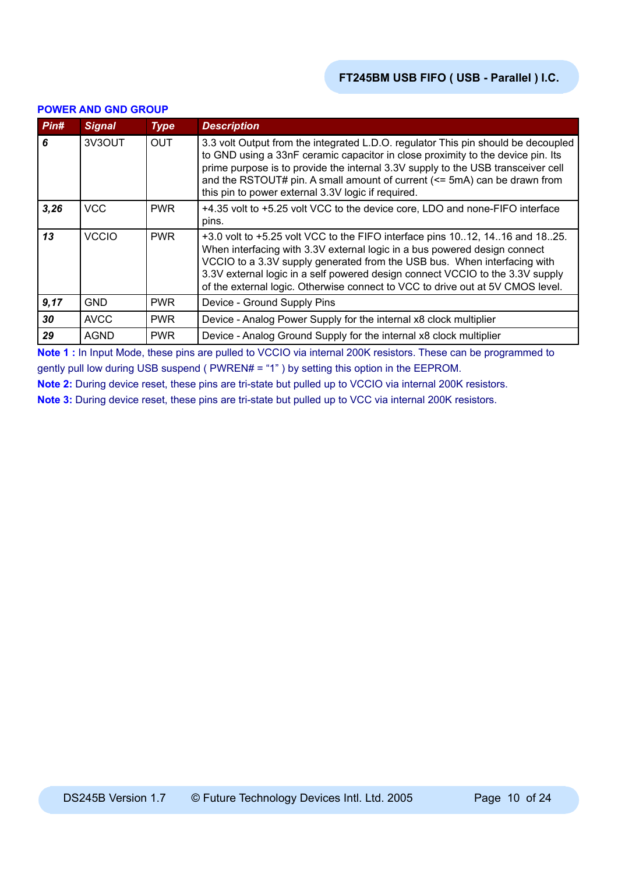| Pin# | <b>Signal</b> | <b>Type</b> | <b>Description</b>                                                                                                                                                                                                                                                                                                                                                                                      |  |
|------|---------------|-------------|---------------------------------------------------------------------------------------------------------------------------------------------------------------------------------------------------------------------------------------------------------------------------------------------------------------------------------------------------------------------------------------------------------|--|
| 6    | 3V3OUT        | <b>OUT</b>  | 3.3 volt Output from the integrated L.D.O. regulator This pin should be decoupled<br>to GND using a 33nF ceramic capacitor in close proximity to the device pin. Its<br>prime purpose is to provide the internal 3.3V supply to the USB transceiver cell<br>and the RSTOUT# pin. A small amount of current (<= 5mA) can be drawn from<br>this pin to power external 3.3V logic if required.             |  |
| 3,26 | <b>VCC</b>    | <b>PWR</b>  | +4.35 volt to +5.25 volt VCC to the device core, LDO and none-FIFO interface<br>pins.                                                                                                                                                                                                                                                                                                                   |  |
| 13   | <b>VCCIO</b>  | <b>PWR</b>  | +3.0 volt to +5.25 volt VCC to the FIFO interface pins 1012, 1416 and 1825.<br>When interfacing with 3.3V external logic in a bus powered design connect<br>VCCIO to a 3.3V supply generated from the USB bus. When interfacing with<br>3.3V external logic in a self powered design connect VCCIO to the 3.3V supply<br>of the external logic. Otherwise connect to VCC to drive out at 5V CMOS level. |  |
| 9,17 | GND           | <b>PWR</b>  | Device - Ground Supply Pins                                                                                                                                                                                                                                                                                                                                                                             |  |
| 30   | <b>AVCC</b>   | <b>PWR</b>  | Device - Analog Power Supply for the internal x8 clock multiplier                                                                                                                                                                                                                                                                                                                                       |  |
| 29   | <b>AGND</b>   | <b>PWR</b>  | Device - Analog Ground Supply for the internal x8 clock multiplier                                                                                                                                                                                                                                                                                                                                      |  |

#### **POWER AND GND GROUP**

**Note 1 :** In Input Mode, these pins are pulled to VCCIO via internal 200K resistors. These can be programmed to gently pull low during USB suspend ( PWREN# = "1" ) by setting this option in the EEPROM.

**Note 2:** During device reset, these pins are tri-state but pulled up to VCCIO via internal 200K resistors.

**Note 3:** During device reset, these pins are tri-state but pulled up to VCC via internal 200K resistors.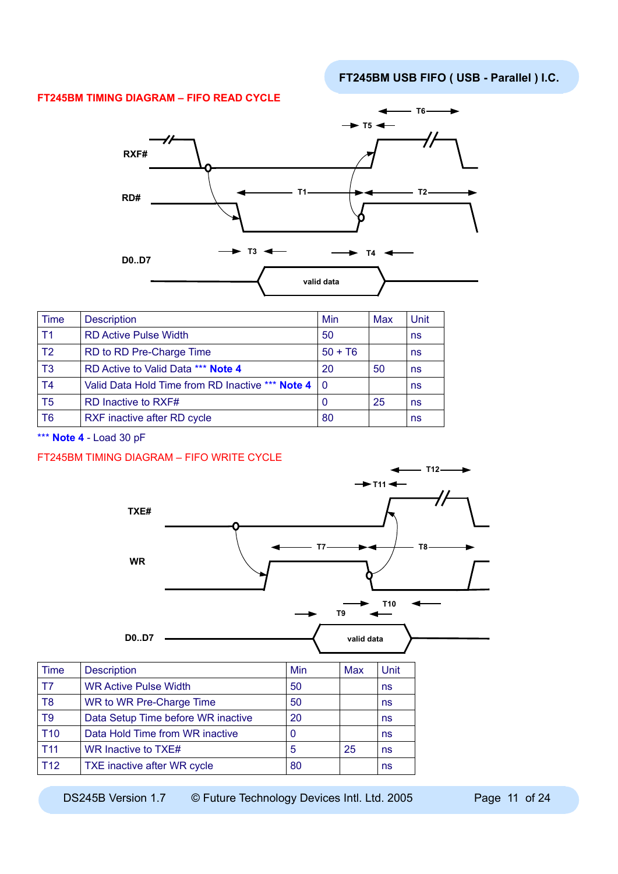### **FT245BM TIMING DIAGRAM – FIFO READ CYCLE**



| <b>Time</b>    | <b>Description</b>                                   | Min       | Max | Unit |
|----------------|------------------------------------------------------|-----------|-----|------|
| T <sub>1</sub> | <b>RD Active Pulse Width</b>                         | 50        |     | ns   |
| T <sub>2</sub> | RD to RD Pre-Charge Time                             | $50 + T6$ |     | ns   |
| T <sub>3</sub> | RD Active to Valid Data *** Note 4                   | 20        | 50  | ns   |
| T <sub>4</sub> | Valid Data Hold Time from RD Inactive *** Note 4   0 |           |     | ns   |
| T <sub>5</sub> | RD Inactive to RXF#                                  | 0         | 25  | ns   |
| T <sub>6</sub> | RXF inactive after RD cycle                          | 80        |     | ns   |

\*\*\* **Note 4** - Load 30 pF

### FT245BM TIMING DIAGRAM – FIFO WRITE CYCLE



| T <sub>8</sub>  | WR to WR Pre-Charge Time           | 50 |    | ns |
|-----------------|------------------------------------|----|----|----|
| T9              | Data Setup Time before WR inactive | 20 |    | ns |
| T <sub>10</sub> | Data Hold Time from WR inactive    |    |    | ns |
| T11             | WR Inactive to TXE#                | 5  | 25 | ns |
| T12             | TXE inactive after WR cycle        | 80 |    | ns |

DS245B Version 1.7 © Future Technology Devices Intl. Ltd. 2005 Page 11 of 24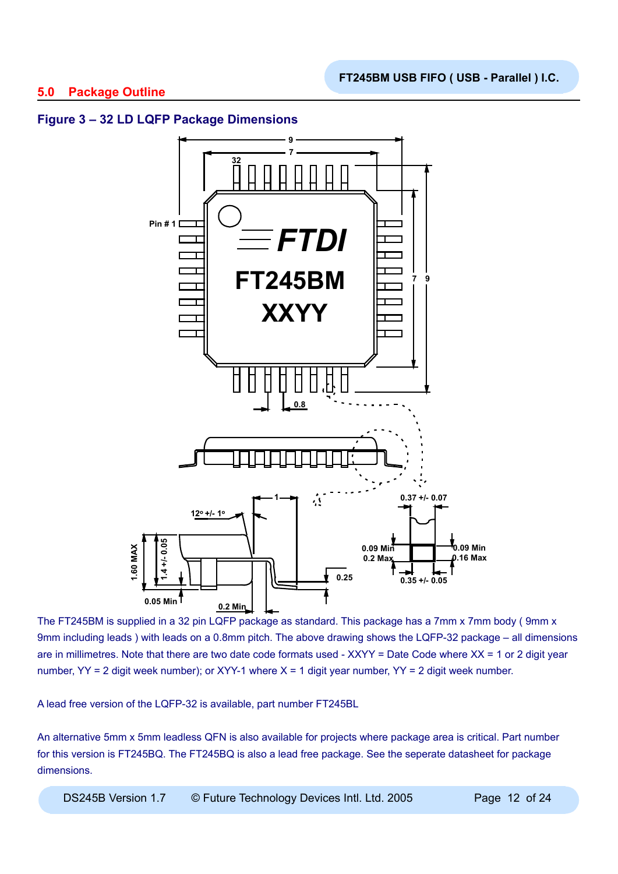# **5.0 Package Outline**

# **Figure 3 – 32 LD LQFP Package Dimensions**



The FT245BM is supplied in a 32 pin LQFP package as standard. This package has a 7mm x 7mm body (9mm x 9mm including leads ) with leads on a 0.8mm pitch. The above drawing shows the LQFP-32 package – all dimensions are in millimetres. Note that there are two date code formats used - XXYY = Date Code where XX = 1 or 2 digit year number,  $YY = 2$  digit week number); or XYY-1 where  $X = 1$  digit year number,  $YY = 2$  digit week number.

A lead free version of the LQFP-32 is available, part number FT245BL

An alternative 5mm x 5mm leadless QFN is also available for projects where package area is critical. Part number for this version is FT245BQ. The FT245BQ is also a lead free package. See the seperate datasheet for package dimensions.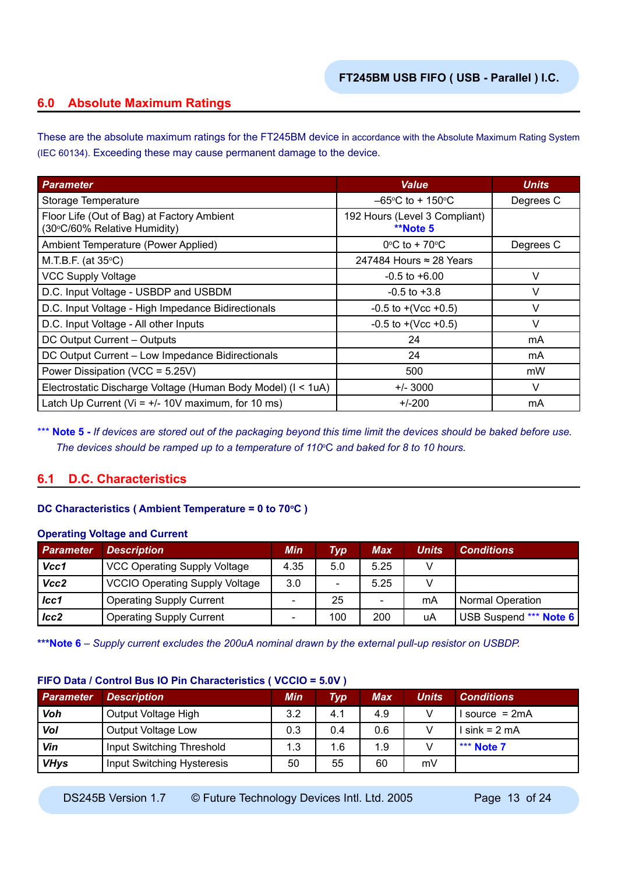# **6.0 Absolute Maximum Ratings**

These are the absolute maximum ratings for the FT245BM device in accordance with the Absolute Maximum Rating System (IEC 60134). Exceeding these may cause permanent damage to the device.

| <b>Parameter</b>                                                           | <b>Value</b>                                     | <b>Units</b> |
|----------------------------------------------------------------------------|--------------------------------------------------|--------------|
| Storage Temperature                                                        | $-65^{\circ}$ C to + 150 $^{\circ}$ C            | Degrees C    |
| Floor Life (Out of Bag) at Factory Ambient<br>(30°C/60% Relative Humidity) | 192 Hours (Level 3 Compliant)<br><b>**Note 5</b> |              |
| Ambient Temperature (Power Applied)                                        | $0^{\circ}$ C to + 70 $^{\circ}$ C               | Degrees C    |
| M.T.B.F. (at $35^{\circ}$ C)                                               | 247484 Hours $\approx$ 28 Years                  |              |
| <b>VCC Supply Voltage</b>                                                  | $-0.5$ to $+6.00$                                | V            |
| D.C. Input Voltage - USBDP and USBDM                                       | $-0.5$ to $+3.8$                                 | V            |
| D.C. Input Voltage - High Impedance Bidirectionals                         | $-0.5$ to $+(Vec +0.5)$                          | V            |
| D.C. Input Voltage - All other Inputs                                      | $-0.5$ to $+(Vcc +0.5)$                          | V            |
| DC Output Current - Outputs                                                | 24                                               | mA           |
| DC Output Current - Low Impedance Bidirectionals                           | 24                                               | mA           |
| Power Dissipation (VCC = 5.25V)                                            | 500                                              | mW           |
| Electrostatic Discharge Voltage (Human Body Model) (I < 1uA)               | $+/- 3000$                                       | $\vee$       |
| Latch Up Current ( $Vi = +/- 10V$ maximum, for 10 ms)                      | $+/-200$                                         | mA           |

\*\*\* **Note 5** - If devices are stored out of the packaging beyond this time limit the devices should be baked before use. *The devices should be ramped up to a temperature of 110*<sup>o</sup> C *and baked for 8 to 10 hours.*

# **6.1 D.C. Characteristics**

## **DC Characteristics (Ambient Temperature = 0 to 70°C)**

### **Operating Voltage and Current**

| <b>Parameter</b> | <b>Description</b>                    | Min                      | Typ                      | <b>Max</b> | Units | <b>Conditions</b>       |
|------------------|---------------------------------------|--------------------------|--------------------------|------------|-------|-------------------------|
| Vcc1             | <b>VCC Operating Supply Voltage</b>   | 4.35                     | 5.0                      | 5.25       |       |                         |
| Vcc2             | <b>VCCIO Operating Supply Voltage</b> | 3.0                      | $\overline{\phantom{0}}$ | 5.25       |       |                         |
| $_{lcc1}$        | <b>Operating Supply Current</b>       | $\overline{\phantom{0}}$ | 25                       | -          | mA    | <b>Normal Operation</b> |
| lcc2             | <b>Operating Supply Current</b>       | $\overline{\phantom{0}}$ | 100                      | 200        | uA    | USB Suspend *** Note 6  |

**\*\*\*Note 6** *– Supply current excludes the 200uA nominal drawn by the external pull-up resistor on USBDP.*

## **FIFO Data / Control Bus IO Pin Characteristics ( VCCIO = 5.0V )**

| <b>Parameter</b> | <b>Description</b>         | <b>Min</b> | Typ | Max | <b>Units</b> | <b>Conditions</b> |
|------------------|----------------------------|------------|-----|-----|--------------|-------------------|
| Voh              | Output Voltage High        | 3.2        | 4.1 | 4.9 | v            | source = $2mA$    |
| Vol              | Output Voltage Low         | 0.3        | 0.4 | 0.6 | v            | l sink = 2 mA     |
| Vin              | Input Switching Threshold  | 1.3        | 1.6 | 1.9 |              | *** Note 7        |
| <b>VHys</b>      | Input Switching Hysteresis | 50         | 55  | 60  | mV           |                   |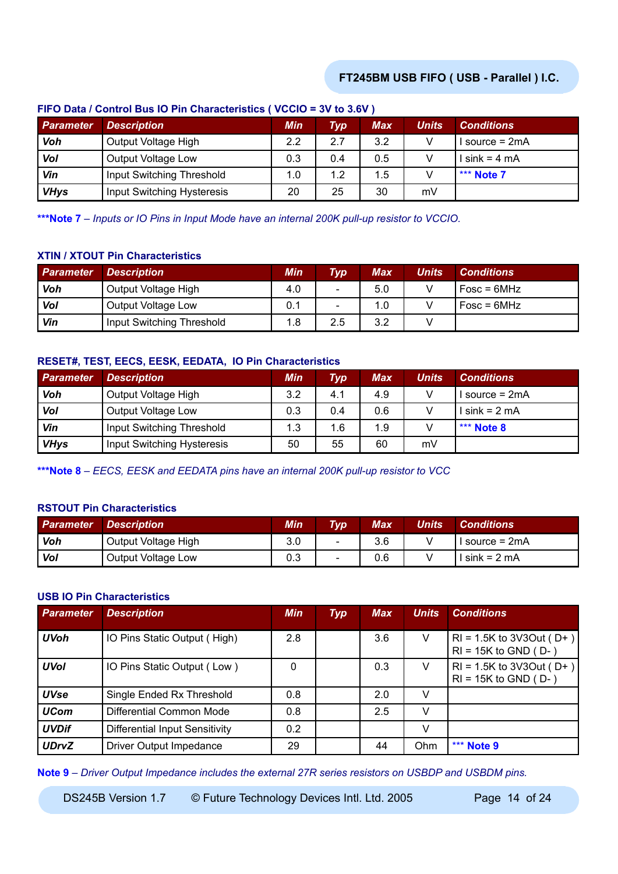| Parameter   | <b>Description</b>         | Min     | Typ | Max | <b>Units</b> | <b>Conditions</b> |
|-------------|----------------------------|---------|-----|-----|--------------|-------------------|
| Voh         | Output Voltage High        | $2.2\,$ | 2.7 | 3.2 |              | source = $2mA$    |
| Vol         | Output Voltage Low         | 0.3     | 0.4 | 0.5 |              | $sink = 4 mA$     |
| Vin         | Input Switching Threshold  | 1.0     | 1.2 | 1.5 |              | *** Note 7        |
| <b>VHys</b> | Input Switching Hysteresis | 20      | 25  | 30  | mV           |                   |

## **FIFO Data / Control Bus IO Pin Characteristics ( VCCIO = 3V to 3.6V )**

**\*\*\*Note 7** *– Inputs or IO Pins in Input Mode have an internal 200K pull-up resistor to VCCIO.*

## **XTIN / XTOUT Pin Characteristics**

| <b>Parameter</b> | <b>Description</b>        | Min | <b>Typ</b>               | <b>Max</b> | Units | <b>Conditions</b> |
|------------------|---------------------------|-----|--------------------------|------------|-------|-------------------|
| Voh              | Output Voltage High       | 4.0 | $\sim$                   | 5.0        |       | $Fosc = 6MHz$     |
| Vol              | Output Voltage Low        | 0.1 | $\overline{\phantom{a}}$ | 1.0        |       | $Fosc = 6MHz$     |
| Vin              | Input Switching Threshold | 1.8 | 2.5                      | 3.2        |       |                   |

## **RESET#, TEST, EECS, EESK, EEDATA, IO Pin Characteristics**

| <b>Parameter</b> | <b>Description</b>         | <b>Min</b> | <b>Typ</b> | Max | <b>Units</b> | <b>Conditions</b> |
|------------------|----------------------------|------------|------------|-----|--------------|-------------------|
| Voh              | Output Voltage High        | 3.2        | 4.1        | 4.9 |              | source = 2mA      |
| <b>Vol</b>       | Output Voltage Low         | 0.3        | 0.4        | 0.6 |              | $\sin k = 2$ mA   |
| Vin              | Input Switching Threshold  | 1.3        | 1.6        | 1.9 |              | *** Note $8$      |
| <b>VHys</b>      | Input Switching Hysteresis | 50         | 55         | 60  | mV           |                   |

**\*\*\*Note 8** *– EECS, EESK and EEDATA pins have an internal 200K pull-up resistor to VCC*

## **RSTOUT Pin Characteristics**

| <b>Parameter</b> | <b>Description</b>  | Min | <b>Typ</b> | <b>Max</b> | Units' | <b>Conditions</b> |
|------------------|---------------------|-----|------------|------------|--------|-------------------|
| Voh              | Output Voltage High | 3.0 | $\sim$     | 3.6        |        | I source = 2mA    |
| Vol              | Output Voltage Low  | 0.3 | $\sim$     | 0.6        |        | l sink = 2 mA     |

### **USB IO Pin Characteristics**

| <b>Parameter</b> | <b>Description</b>             | Min      | <b>Typ</b> | <b>Max</b> | <b>Units</b> | <b>Conditions</b>                                         |
|------------------|--------------------------------|----------|------------|------------|--------------|-----------------------------------------------------------|
| <b>UVoh</b>      | IO Pins Static Output (High)   | 2.8      |            | 3.6        | V            | $RI = 1.5K$ to 3V3Out (D+)<br>$RI = 15K$ to GND ( $D -$ ) |
| <b>UVol</b>      | IO Pins Static Output (Low)    | $\Omega$ |            | 0.3        | V            | $RI = 1.5K$ to 3V3Out (D+)<br>$RI = 15K$ to GND ( $D-$ )  |
| <b>UVse</b>      | Single Ended Rx Threshold      | 0.8      |            | 2.0        | V            |                                                           |
| <b>UCom</b>      | Differential Common Mode       | 0.8      |            | 2.5        | V            |                                                           |
| <b>UVDif</b>     | Differential Input Sensitivity | 0.2      |            |            | v            |                                                           |
| <b>UDrvZ</b>     | Driver Output Impedance        | 29       |            | 44         | Ohm          | *** Note 9                                                |

**Note 9** *– Driver Output Impedance includes the external 27R series resistors on USBDP and USBDM pins.*

DS245B Version 1.7 © Future Technology Devices Intl. Ltd. 2005 Page 14 of 24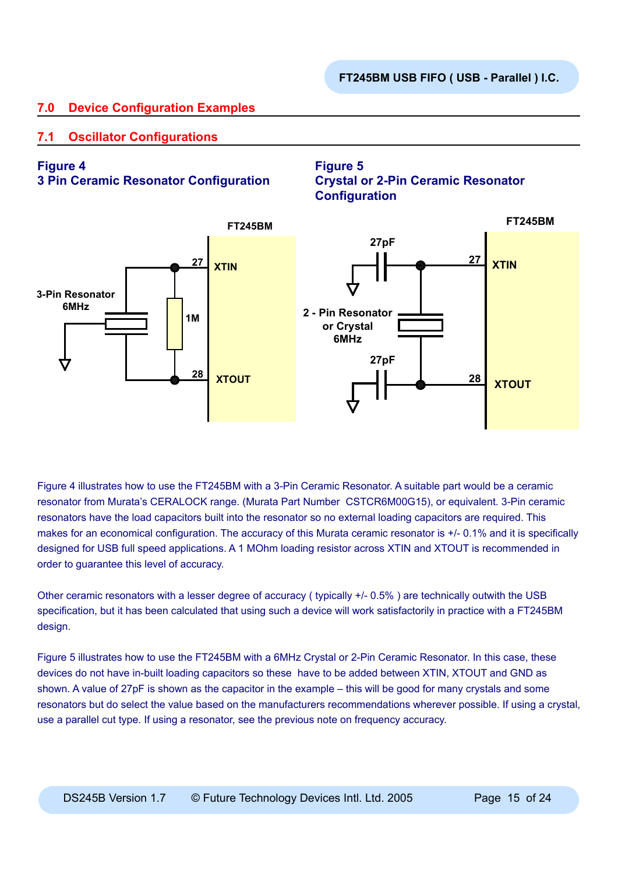**Crystal or 2-Pin Ceramic Resonator** 

# **7.0 Device Configuration Examples**

# **7.1 Oscillator Configurations**

# **Figure 4**

# **3 Pin Ceramic Resonator Configuration**



**Figure 5**

Figure 4 illustrates how to use the FT245BM with a 3-Pin Ceramic Resonator. A suitable part would be a ceramic resonator from Murata's CERALOCK range. (Murata Part Number CSTCR6M00G15), or equivalent. 3-Pin ceramic resonators have the load capacitors built into the resonator so no external loading capacitors are required. This makes for an economical configuration. The accuracy of this Murata ceramic resonator is +/- 0.1% and it is specifically designed for USB full speed applications. A 1 MOhm loading resistor across XTIN and XTOUT is recommended in order to guarantee this level of accuracy.

Other ceramic resonators with a lesser degree of accuracy ( typically +/- 0.5% ) are technically outwith the USB specification, but it has been calculated that using such a device will work satisfactorily in practice with a FT245BM design.

Figure 5 illustrates how to use the FT245BM with a 6MHz Crystal or 2-Pin Ceramic Resonator. In this case, these devices do not have in-built loading capacitors so these have to be added between XTIN, XTOUT and GND as shown. A value of 27pF is shown as the capacitor in the example – this will be good for many crystals and some resonators but do select the value based on the manufacturers recommendations wherever possible. If using a crystal, use a parallel cut type. If using a resonator, see the previous note on frequency accuracy.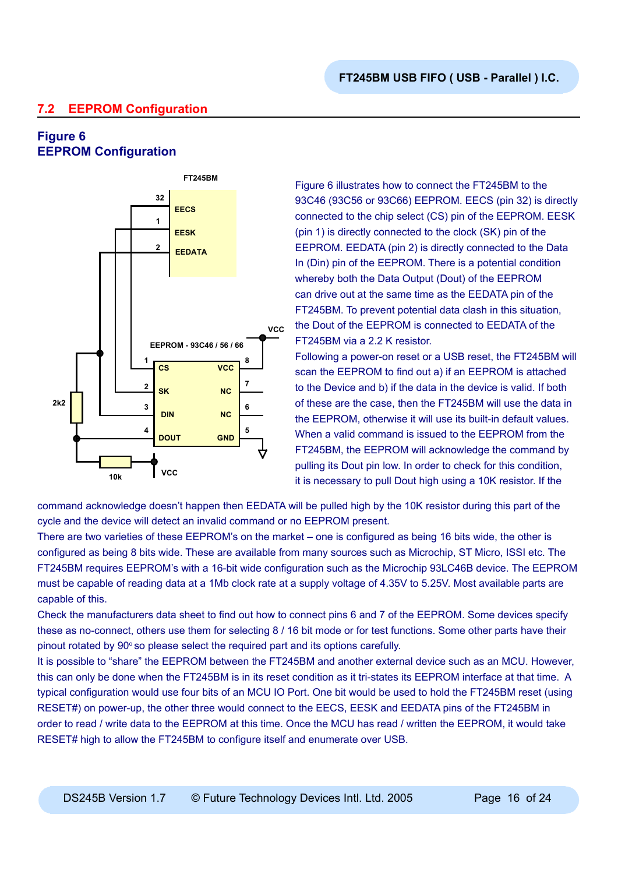# **7.2 EEPROM Configuration**

# **Figure 6 EEPROM Configuration**



Figure 6 illustrates how to connect the FT245BM to the 93C46 (93C56 or 93C66) EEPROM. EECS (pin 32) is directly connected to the chip select (CS) pin of the EEPROM. EESK (pin 1) is directly connected to the clock (SK) pin of the EEPROM. EEDATA (pin 2) is directly connected to the Data In (Din) pin of the EEPROM. There is a potential condition whereby both the Data Output (Dout) of the EEPROM can drive out at the same time as the EEDATA pin of the FT245BM. To prevent potential data clash in this situation, the Dout of the EEPROM is connected to EEDATA of the FT245BM via a 2.2 K resistor.

Following a power-on reset or a USB reset, the FT245BM will scan the EEPROM to find out a) if an EEPROM is attached to the Device and b) if the data in the device is valid. If both of these are the case, then the FT245BM will use the data in the EEPROM, otherwise it will use its built-in default values. When a valid command is issued to the EEPROM from the FT245BM, the EEPROM will acknowledge the command by pulling its Dout pin low. In order to check for this condition, it is necessary to pull Dout high using a 10K resistor. If the

command acknowledge doesn't happen then EEDATA will be pulled high by the 10K resistor during this part of the cycle and the device will detect an invalid command or no EEPROM present.

There are two varieties of these EEPROM's on the market – one is configured as being 16 bits wide, the other is configured as being 8 bits wide. These are available from many sources such as Microchip, ST Micro, ISSI etc. The FT245BM requires EEPROM's with a 16-bit wide configuration such as the Microchip 93LC46B device. The EEPROM must be capable of reading data at a 1Mb clock rate at a supply voltage of 4.35V to 5.25V. Most available parts are capable of this.

Check the manufacturers data sheet to find out how to connect pins 6 and 7 of the EEPROM. Some devices specify these as no-connect, others use them for selecting 8 / 16 bit mode or for test functions. Some other parts have their pinout rotated by  $90^{\circ}$  so please select the required part and its options carefully.

It is possible to "share" the EEPROM between the FT245BM and another external device such as an MCU. However, this can only be done when the FT245BM is in its reset condition as it tri-states its EEPROM interface at that time. A typical configuration would use four bits of an MCU IO Port. One bit would be used to hold the FT245BM reset (using RESET#) on power-up, the other three would connect to the EECS, EESK and EEDATA pins of the FT245BM in order to read / write data to the EEPROM at this time. Once the MCU has read / written the EEPROM, it would take RESET# high to allow the FT245BM to configure itself and enumerate over USB.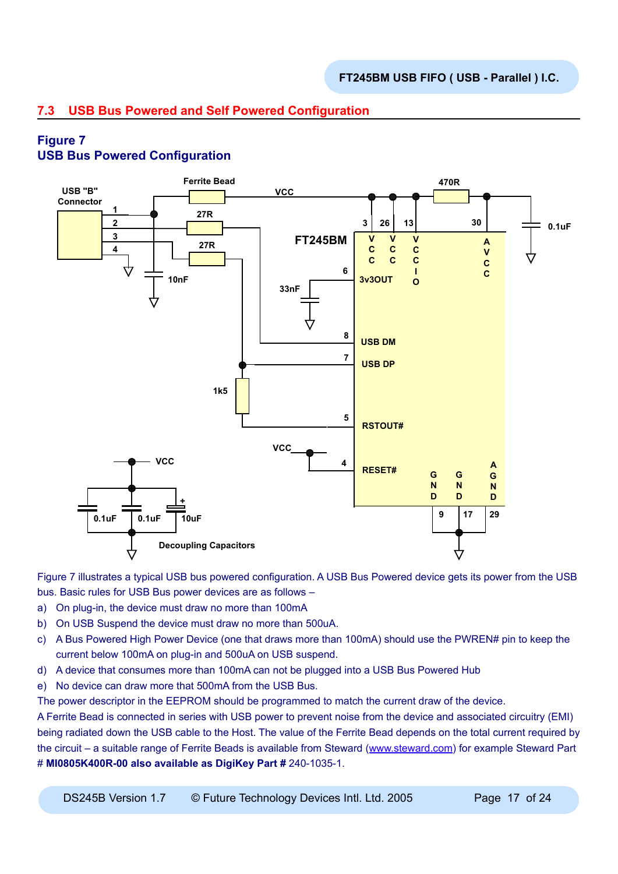# **7.3 USB Bus Powered and Self Powered Configuration**

# **Figure 7**

# **USB Bus Powered Configuration**



Figure 7 illustrates a typical USB bus powered configuration. A USB Bus Powered device gets its power from the USB bus. Basic rules for USB Bus power devices are as follows –

- a) On plug-in, the device must draw no more than 100mA
- b) On USB Suspend the device must draw no more than 500uA.
- c) A Bus Powered High Power Device (one that draws more than 100mA) should use the PWREN# pin to keep the current below 100mA on plug-in and 500uA on USB suspend.
- d) A device that consumes more than 100mA can not be plugged into a USB Bus Powered Hub
- e) No device can draw more that 500mA from the USB Bus.

The power descriptor in the EEPROM should be programmed to match the current draw of the device.

A Ferrite Bead is connected in series with USB power to prevent noise from the device and associated circuitry (EMI) being radiated down the USB cable to the Host. The value of the Ferrite Bead depends on the total current required by the circuit – a suitable range of Ferrite Beads is available from Steward ([www.steward.com](http://www.steward.com)) for example Steward Part # **MI0805K400R-00 also available as DigiKey Part #** 240-1035-1.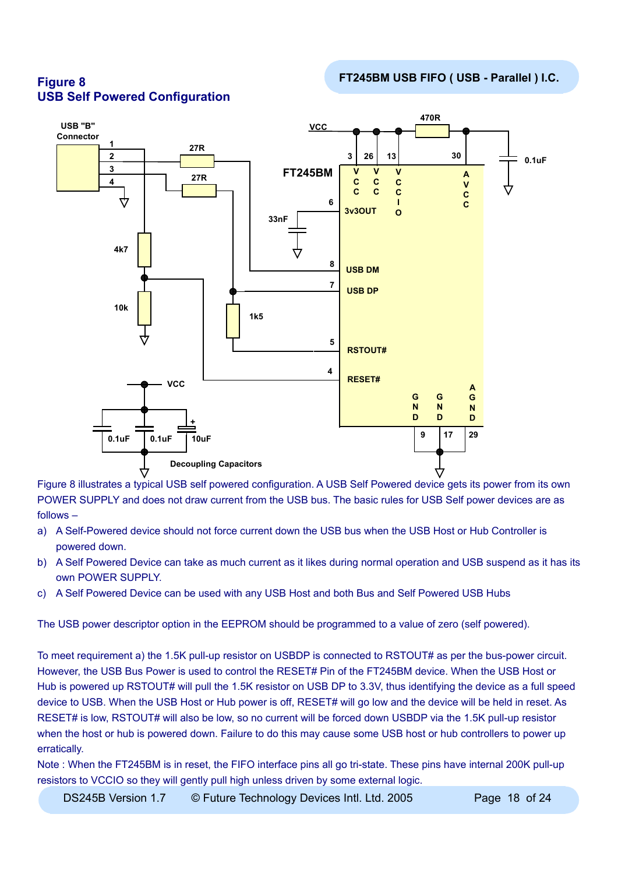

**FT245BM USB FIFO ( USB - Parallel ) I.C. Figure 8 USB Self Powered Configuration**

Figure 8 illustrates a typical USB self powered configuration. A USB Self Powered device gets its power from its own POWER SUPPLY and does not draw current from the USB bus. The basic rules for USB Self power devices are as follows –

- a) A Self-Powered device should not force current down the USB bus when the USB Host or Hub Controller is powered down.
- b) A Self Powered Device can take as much current as it likes during normal operation and USB suspend as it has its own POWER SUPPLY.
- c) A Self Powered Device can be used with any USB Host and both Bus and Self Powered USB Hubs

The USB power descriptor option in the EEPROM should be programmed to a value of zero (self powered).

To meet requirement a) the 1.5K pull-up resistor on USBDP is connected to RSTOUT# as per the bus-power circuit. However, the USB Bus Power is used to control the RESET# Pin of the FT245BM device. When the USB Host or Hub is powered up RSTOUT# will pull the 1.5K resistor on USB DP to 3.3V, thus identifying the device as a full speed device to USB. When the USB Host or Hub power is off, RESET# will go low and the device will be held in reset. As RESET# is low, RSTOUT# will also be low, so no current will be forced down USBDP via the 1.5K pull-up resistor when the host or hub is powered down. Failure to do this may cause some USB host or hub controllers to power up erratically.

Note : When the FT245BM is in reset, the FIFO interface pins all go tri-state. These pins have internal 200K pull-up resistors to VCCIO so they will gently pull high unless driven by some external logic.

DS245B Version 1.7  $\circ$  Future Technology Devices Intl. Ltd. 2005 Page 18 of 24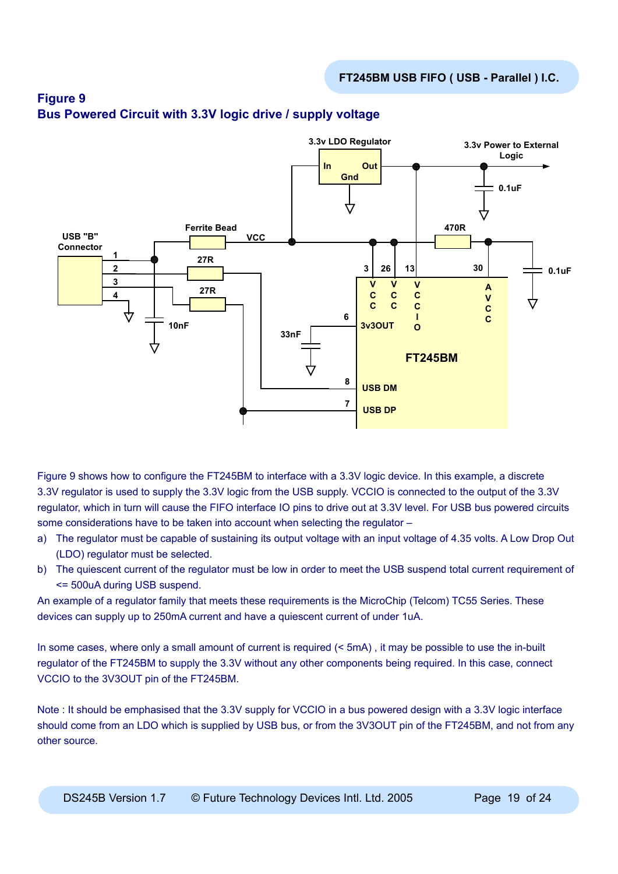

# **Figure 9 Bus Powered Circuit with 3.3V logic drive / supply voltage**

Figure 9 shows how to configure the FT245BM to interface with a 3.3V logic device. In this example, a discrete 3.3V regulator is used to supply the 3.3V logic from the USB supply. VCCIO is connected to the output of the 3.3V regulator, which in turn will cause the FIFO interface IO pins to drive out at 3.3V level. For USB bus powered circuits some considerations have to be taken into account when selecting the regulator –

- a) The regulator must be capable of sustaining its output voltage with an input voltage of 4.35 volts. A Low Drop Out (LDO) regulator must be selected.
- b) The quiescent current of the regulator must be low in order to meet the USB suspend total current requirement of <= 500uA during USB suspend.

An example of a regulator family that meets these requirements is the MicroChip (Telcom) TC55 Series. These devices can supply up to 250mA current and have a quiescent current of under 1uA.

In some cases, where only a small amount of current is required (< 5mA), it may be possible to use the in-built regulator of the FT245BM to supply the 3.3V without any other components being required. In this case, connect VCCIO to the 3V3OUT pin of the FT245BM.

Note : It should be emphasised that the 3.3V supply for VCCIO in a bus powered design with a 3.3V logic interface should come from an LDO which is supplied by USB bus, or from the 3V3OUT pin of the FT245BM, and not from any other source.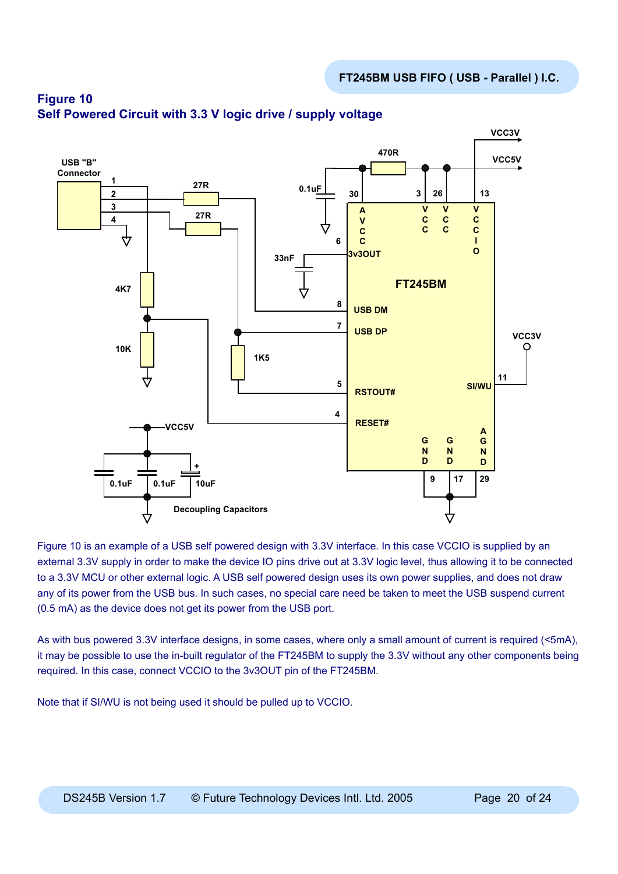

# **Figure 10 Self Powered Circuit with 3.3 V logic drive / supply voltage**

Figure 10 is an example of a USB self powered design with 3.3V interface. In this case VCCIO is supplied by an external 3.3V supply in order to make the device IO pins drive out at 3.3V logic level, thus allowing it to be connected to a 3.3V MCU or other external logic. A USB self powered design uses its own power supplies, and does not draw any of its power from the USB bus. In such cases, no special care need be taken to meet the USB suspend current (0.5 mA) as the device does not get its power from the USB port.

As with bus powered 3.3V interface designs, in some cases, where only a small amount of current is required (<5mA), it may be possible to use the in-built regulator of the FT245BM to supply the 3.3V without any other components being required. In this case, connect VCCIO to the 3v3OUT pin of the FT245BM.

Note that if SI/WU is not being used it should be pulled up to VCCIO.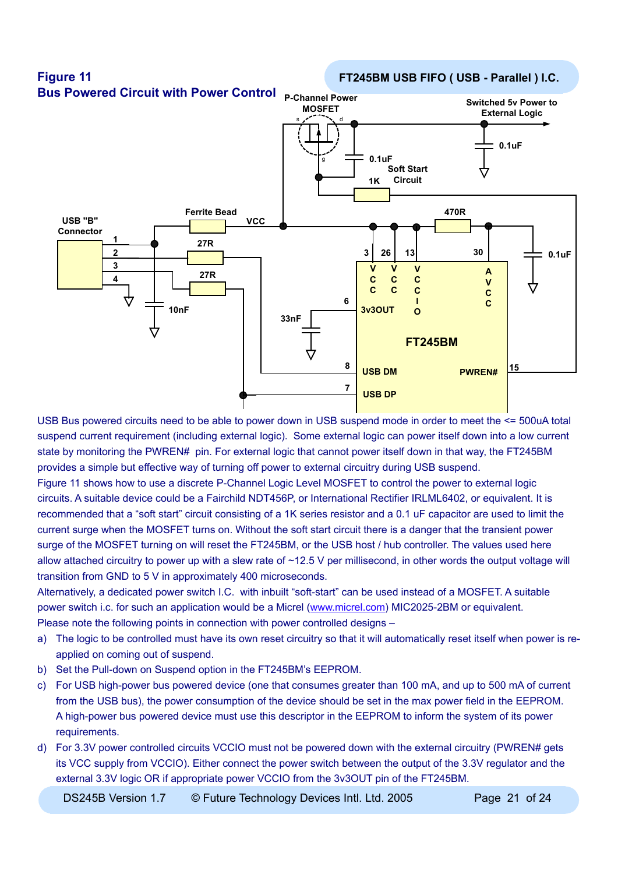

USB Bus powered circuits need to be able to power down in USB suspend mode in order to meet the <= 500uA total suspend current requirement (including external logic). Some external logic can power itself down into a low current state by monitoring the PWREN# pin. For external logic that cannot power itself down in that way, the FT245BM provides a simple but effective way of turning off power to external circuitry during USB suspend.

Figure 11 shows how to use a discrete P-Channel Logic Level MOSFET to control the power to external logic circuits. A suitable device could be a Fairchild NDT456P, or International Rectifier IRLML6402, or equivalent. It is recommended that a "soft start" circuit consisting of a 1K series resistor and a 0.1 uF capacitor are used to limit the current surge when the MOSFET turns on. Without the soft start circuit there is a danger that the transient power surge of the MOSFET turning on will reset the FT245BM, or the USB host / hub controller. The values used here allow attached circuitry to power up with a slew rate of ~12.5 V per millisecond, in other words the output voltage will transition from GND to 5 V in approximately 400 microseconds.

Alternatively, a dedicated power switch I.C. with inbuilt "soft-start" can be used instead of a MOSFET. A suitable power switch i.c. for such an application would be a Micrel ([www.micrel.com](http://www.micrel.com)) MIC2025-2BM or equivalent. Please note the following points in connection with power controlled designs –

- a) The logic to be controlled must have its own reset circuitry so that it will automatically reset itself when power is reapplied on coming out of suspend.
- b) Set the Pull-down on Suspend option in the FT245BM's EEPROM.
- c) For USB high-power bus powered device (one that consumes greater than 100 mA, and up to 500 mA of current from the USB bus), the power consumption of the device should be set in the max power field in the EEPROM. A high-power bus powered device must use this descriptor in the EEPROM to inform the system of its power requirements.
- d) For 3.3V power controlled circuits VCCIO must not be powered down with the external circuitry (PWREN# gets its VCC supply from VCCIO). Either connect the power switch between the output of the 3.3V regulator and the external 3.3V logic OR if appropriate power VCCIO from the 3v3OUT pin of the FT245BM.

DS245B Version 1.7  $\circ$  Future Technology Devices Intl. Ltd. 2005 Page 21 of 24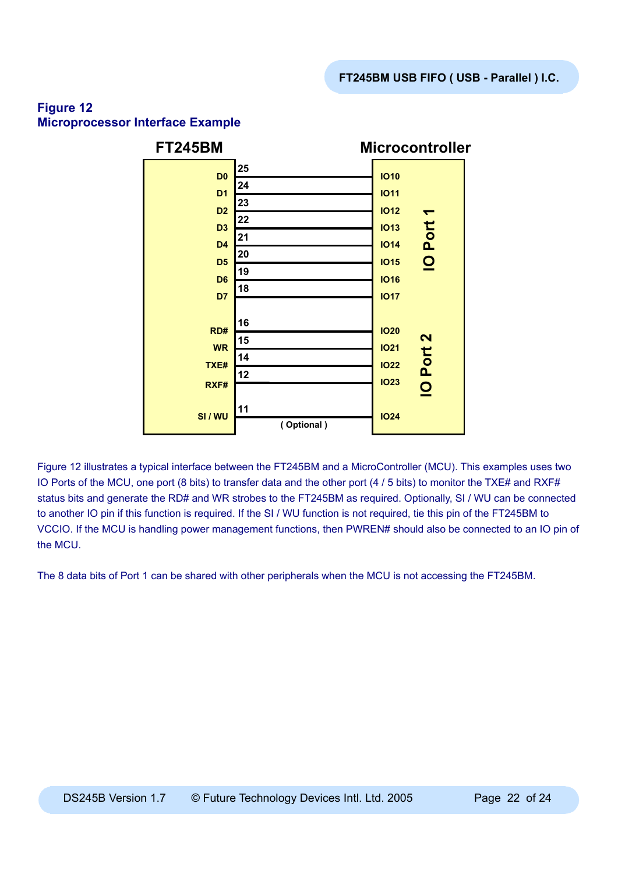# **Figure 12 Microprocessor Interface Example**



Figure 12 illustrates a typical interface between the FT245BM and a MicroController (MCU). This examples uses two IO Ports of the MCU, one port (8 bits) to transfer data and the other port (4 / 5 bits) to monitor the TXE# and RXF# status bits and generate the RD# and WR strobes to the FT245BM as required. Optionally, SI / WU can be connected to another IO pin if this function is required. If the SI / WU function is not required, tie this pin of the FT245BM to VCCIO. If the MCU is handling power management functions, then PWREN# should also be connected to an IO pin of the MCU.

The 8 data bits of Port 1 can be shared with other peripherals when the MCU is not accessing the FT245BM.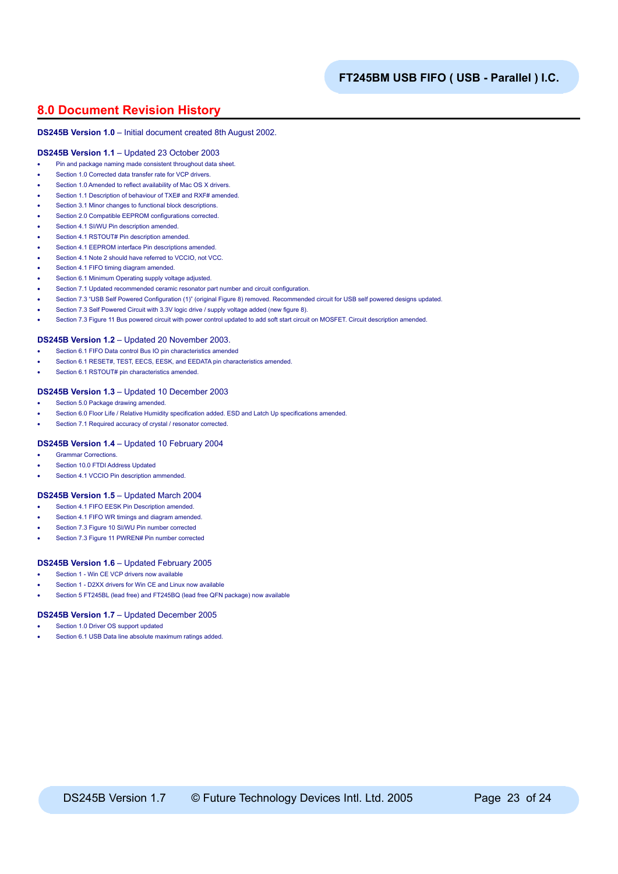## **8.0 Document Revision History**

#### **DS245B Version 1.0** – Initial document created 8th August 2002.

#### **DS245B Version 1.1** – Updated 23 October 2003

- Pin and package naming made consistent throughout data sheet.
- Section 1.0 Corrected data transfer rate for VCP drivers.
- Section 1.0 Amended to reflect availability of Mac OS X drivers.
- Section 1.1 Description of behaviour of TXE# and RXF# amended.
- Section 3.1 Minor changes to functional block descriptions.
- Section 2.0 Compatible EEPROM configurations corrected.
- Section 4.1 SI/WU Pin description amended.
- Section 4.1 RSTOUT# Pin description amended.
- Section 4.1 EEPROM interface Pin descriptions amended.
- Section 4.1 Note 2 should have referred to VCCIO, not VCC.
- Section 4.1 FIFO timing diagram amended.
- Section 6.1 Minimum Operating supply voltage adjusted.
- Section 7.1 Updated recommended ceramic resonator part number and circuit configuration.
- Section 7.3 "USB Self Powered Configuration (1)" (original Figure 8) removed. Recommended circuit for USB self powered designs updated.
- Section 7.3 Self Powered Circuit with 3.3V logic drive / supply voltage added (new figure 8).
- Section 7.3 Figure 11 Bus powered circuit with power control updated to add soft start circuit on MOSFET. Circuit description amended.

#### **DS245B Version 1.2** – Updated 20 November 2003.

- Section 6.1 FIFO Data control Bus IO pin characteristics amended
- Section 6.1 RESET#, TEST, EECS, EESK, and EEDATA pin characteristics amended.
- Section 6.1 RSTOUT# pin characteristics amended.

#### **DS245B Version 1.3** – Updated 10 December 2003

- Section 5.0 Package drawing amended.
- Section 6.0 Floor Life / Relative Humidity specification added. ESD and Latch Up specifications amended.
- Section 7.1 Required accuracy of crystal / resonator corrected.

#### **DS245B Version 1.4** – Updated 10 February 2004

- Grammar Corrections.
- Section 10.0 FTDI Address Updated
- Section 4.1 VCCIO Pin description ammended.

#### **DS245B Version 1.5** – Updated March 2004

- Section 4.1 FIFO EESK Pin Description amended
- Section 4.1 FIFO WR timings and diagram amended.
- Section 7.3 Figure 10 SI/WU Pin number corrected
- Section 7.3 Figure 11 PWREN# Pin number corrected

#### **DS245B Version 1.6** – Updated February 2005

- Section 1 Win CE VCP drivers now available
- Section 1 D2XX drivers for Win CE and Linux now available
- Section 5 FT245BL (lead free) and FT245BQ (lead free QFN package) now available

#### **DS245B Version 1.7** – Updated December 2005

- Section 1.0 Driver OS support updated
- Section 6.1 USB Data line absolute maximum ratings added